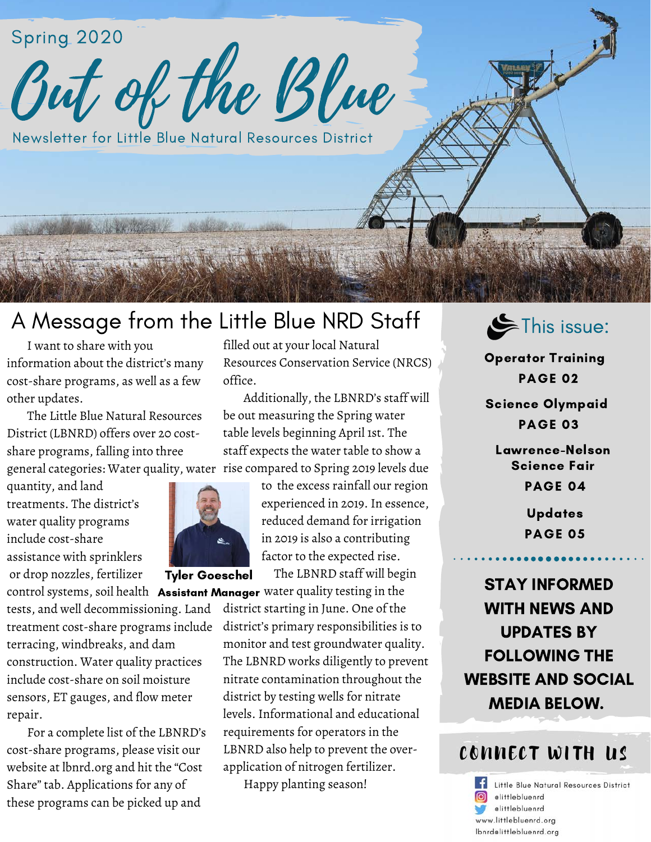Spring 2020<br>Out of the Blue

Newsletter for Little Blue Natural Resources District

# A Message from the Little Blue NRD Staff

 I want to share with you information about the district's many cost-share programs, as well as a few other updates.

 The Little Blue Natural Resources District (LBNRD) offers over 20 costshare programs, falling into three general categories: Water quality, water

quantity, and land treatments. The district's water quality programs include cost-share assistance with sprinklers or drop nozzles, fertilizer

tests, and well decommissioning. Land treatment cost-share programs include terracing, windbreaks, and dam construction. Water quality practices include cost-share on soil moisture sensors, ET gauges, and flow meter repair.

 For a complete list of the LBNRD's cost-share programs, please visit our website at lbnrd.org and hit the "Cost Share" tab. Applications for any of these programs can be picked up and

filled out at your local Natural Resources Conservation Service (NRCS) office.

 Additionally, the LBNRD's staff will be out measuring the Spring water table levels beginning April 1st. The staff expects the water table to show a rise compared to Spring 2019 levels due



Tyler Goeschel

 to the excess rainfall our region experienced in 2019. In essence, reduced demand for irrigation in 2019 is also a contributing factor to the expected rise.

The LBNRD staff will begin

control systems, soil health **Assistant Manager** water quality testing in the district starting in June. One of the district's primary responsibilities is to monitor and test groundwater quality. The LBNRD works diligently to prevent nitrate contamination throughout the district by testing wells for nitrate levels. Informational and educational requirements for operators in the LBNRD also help to prevent the overapplication of nitrogen fertilizer.

Happy planting season!



Operator Training PAGE 02

Science Olympaid PAGE 03

Lawrence-Nelson Science Fair PAGE 04

> Updates PAGE 05

STAY INFORMED WITH NEWS AND UPDATES BY FOLLOWING THE WEBSITE AND SOCIAL MEDIA BELOW.

## CONNECT WITH US

ΙfΙ Little Blue Natural Resources District cittlebluenrd elittlebluenrd www.littlebluenrd.org Ibnrdelittlebluenrd.org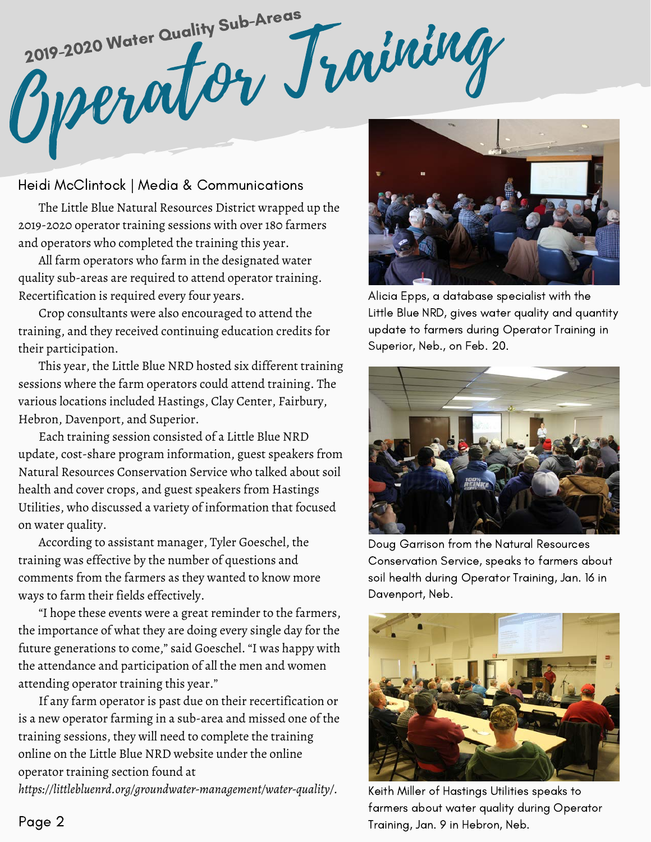2019-2020 Water Quality Subscript Training 2019-2020 Water Quality Sub-Areas

Heidi McClintock | Media & Communications

 The Little Blue Natural Resources District wrapped up the 2019-2020 operator training sessions with over 180 farmers and operators who completed the training this year.

 All farm operators who farm in the designated water quality sub-areas are required to attend operator training. Recertification is required every four years.

 Crop consultants were also encouraged to attend the training, and they received continuing education credits for their participation.

 This year, the Little Blue NRD hosted six different training sessions where the farm operators could attend training. The various locations included Hastings, Clay Center, Fairbury, Hebron, Davenport, and Superior.

 Each training session consisted of a Little Blue NRD update, cost-share program information, guest speakers from Natural Resources Conservation Service who talked about soil health and cover crops, and guest speakers from Hastings Utilities, who discussed a variety of information that focused on water quality.

 According to assistant manager, Tyler Goeschel, the training was effective by the number of questions and comments from the farmers as they wanted to know more ways to farm their fields effectively.

 "I hope these events were a great reminder to the farmers, the importance of what they are doing every single day for the future generations to come," said Goeschel. "I was happy with the attendance and participation of all the men and women attending operator training this year."

 If any farm operator is past due on their recertification or is a new operator farming in a sub-area and missed one of the training sessions, they will need to complete the training online on the Little Blue NRD website under the online operator training section found at

*https://littlebluenrd.org/groundwater-management/water-quality/.*



Alicia Epps, a database specialist with the Little Blue NRD, gives water quality and quantity update to farmers during Operator Training in Superior, Neb., on Feb. 20.



Doug Garrison from the Natural Resources Conservation Service, speaks to farmers about soil health during Operator Training, Jan. 16 in Davenport, Neb.



Keith Miller of Hastings Utilities speaks to farmers about water quality during Operator Training, Jan. 9 in Hebron, Neb.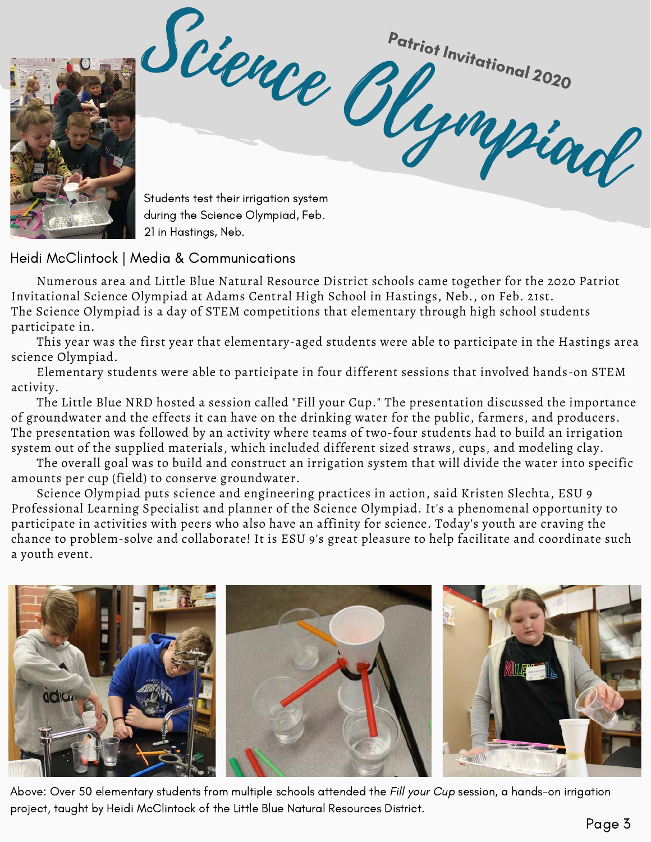

Science Olympian <sup>Patri</sup>ot Invitational 2020<br>**Propi<sup>n</sup>itational** 2020 Students test their irrigation system

during the Science Olympiad, Feb. 21 in Hastings, Neb.

Heidi McClintock | Media & Communications

 Numerous area and Little Blue Natural Resource District schools came together for the 2020 Patriot Invitational Science Olympiad at Adams Central High School in Hastings, Neb., on Feb. 21st. The Science Olympiad is a day of STEM competitions that elementary through high school students participate in.

 This year was the first year that elementary-aged students were able to participate in the Hastings area science Olympiad.

 Elementary students were able to participate in four different sessions that involved hands-on STEM activity.

 The Little Blue NRD hosted a session called "Fill your Cup." The presentation discussed the importance of groundwater and the effects it can have on the drinking water for the public, farmers, and producers. The presentation was followed by an activity where teams of two-four students had to build an irrigation system out of the supplied materials, which included different sized straws, cups, and modeling clay.

 The overall goal was to build and construct an irrigation system that will divide the water into specific amounts per cup (field) to conserve groundwater.

 Science Olympiad puts science and engineering practices in action, said Kristen Slechta, ESU 9 Professional Learning Specialist and planner of the Science Olympiad. It's a phenomenal opportunity to participate in activities with peers who also have an affinity for science. Today's youth are craving the chance to problem-solve and collaborate! It is ESU 9's great pleasure to help facilitate and coordinate such a youth event.



Above: Over 50 elementary students from multiple schools attended the Fill your Cup session, a hands-on irrigation project, taught by Heidi McClintock of the Little Blue Natural Resources District.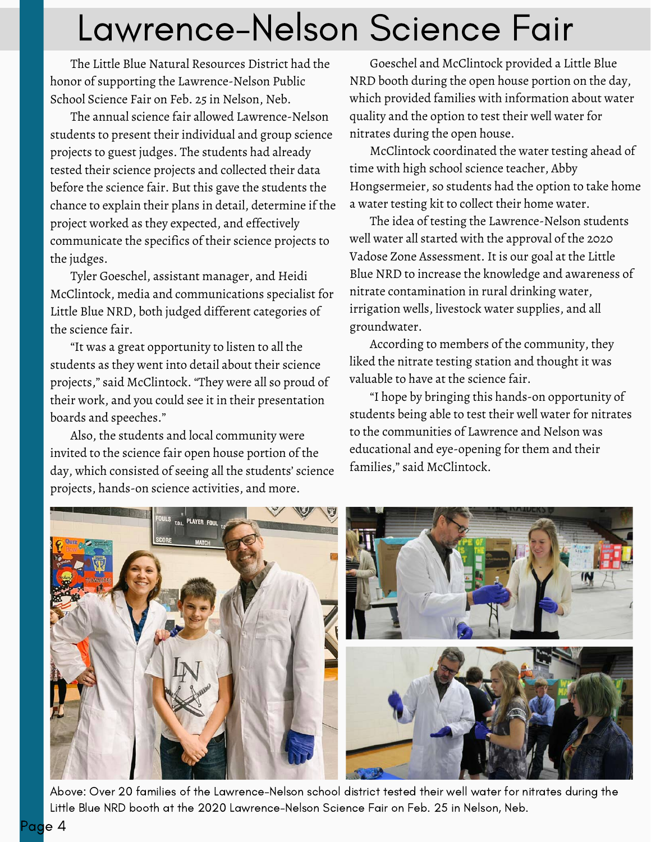# Lawrence-Nelson Science Fair

 The Little Blue Natural Resources District had the honor of supporting the Lawrence-Nelson Public School Science Fair on Feb. 25 in Nelson, Neb.

 The annual science fair allowed Lawrence-Nelson students to present their individual and group science projects to guest judges. The students had already tested their science projects and collected their data before the science fair. But this gave the students the chance to explain their plans in detail, determine if the project worked as they expected, and effectively communicate the specifics of their science projects to the judges.

 Tyler Goeschel, assistant manager, and Heidi McClintock, media and communications specialist for Little Blue NRD, both judged different categories of the science fair.

 "It was a great opportunity to listen to all the students as they went into detail about their science projects," said McClintock. "They were all so proud of their work, and you could see it in their presentation boards and speeches."

 Also, the students and local community were invited to the science fair open house portion of the day, which consisted of seeing all the students' science projects, hands-on science activities, and more.

 Goeschel and McClintock provided a Little Blue NRD booth during the open house portion on the day, which provided families with information about water quality and the option to test their well water for nitrates during the open house.

 McClintock coordinated the water testing ahead of time with high school science teacher, Abby Hongsermeier, so students had the option to take home a water testing kit to collect their home water.

 The idea of testing the Lawrence-Nelson students well water all started with the approval of the 2020 Vadose Zone Assessment. It is our goal at the Little Blue NRD to increase the knowledge and awareness of nitrate contamination in rural drinking water, irrigation wells, livestock water supplies, and all groundwater.

 According to members of the community, they liked the nitrate testing station and thought it was valuable to have at the science fair.

 "I hope by bringing this hands-on opportunity of students being able to test their well water for nitrates to the communities of Lawrence and Nelson was educational and eye-opening for them and their families," said McClintock.



Above: Over 20 families of the Lawrence-Nelson school district tested their well water for nitrates during the Little Blue NRD booth at the 2020 Lawrence-Nelson Science Fair on Feb. 25 in Nelson, Neb.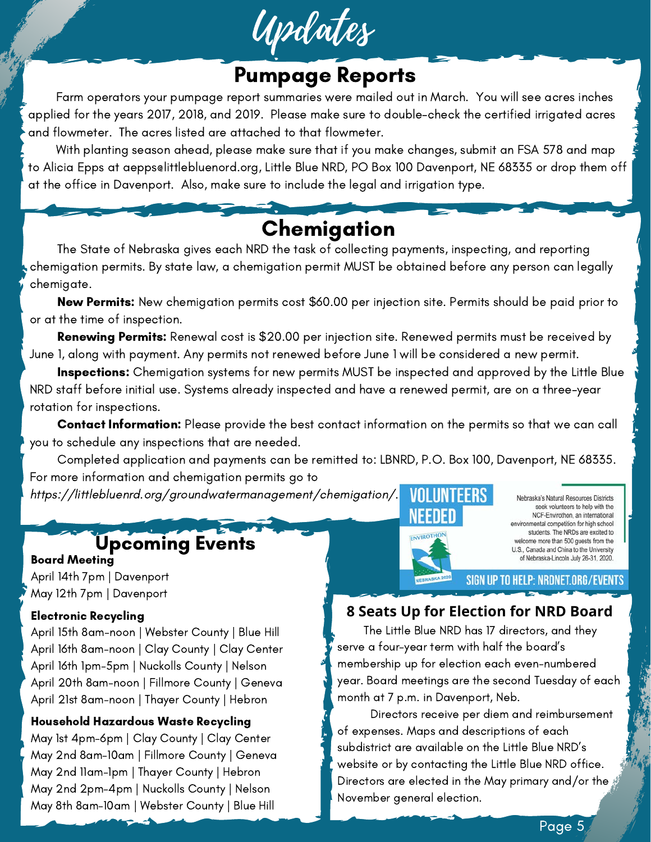

# Pumpage Reports

 Farm operators your pumpage report summaries were mailed out in March. You will see acres inches applied for the years 2017, 2018, and 2019. Please make sure to double-check the certified irrigated acres and flowmeter. The acres listed are attached to that flowmeter.

 With planting season ahead, please make sure that if you make changes, submit an FSA 578 and map to Alicia Epps at aepps@littlebluenord.org, Little Blue NRD, PO Box 100 Davenport, NE 68335 or drop them off at the office in Davenport. Also, make sure to include the legal and irrigation type.

# **Chemigation**

 The State of Nebraska gives each NRD the task of collecting payments, inspecting, and reporting chemigation permits. By state law, a chemigation permit MUST be obtained before any person can legally chemigate.

New Permits: New chemigation permits cost \$60.00 per injection site. Permits should be paid prior to or at the time of inspection.

Renewing Permits: Renewal cost is \$20.00 per injection site. Renewed permits must be received by June 1, along with payment. Any permits not renewed before June 1 will be considered a new permit.

Inspections: Chemigation systems for new permits MUST be inspected and approved by the Little Blue NRD staff before initial use. Systems already inspected and have a renewed permit, are on a three-year rotation for inspections.

 Contact Information: Please provide the best contact information on the permits so that we can call you to schedule any inspections that are needed.

 Completed application and payments can be remitted to: LBNRD, P.O. Box 100, Davenport, NE 68335. For more information and chemigation permits go to

https://littlebluenrd.org/groundwatermanagement/chemigation/. VOLUNTEFRS

## Upcoming Events

Board Meeting April 14th 7pm | Davenport May 12th 7pm | Davenport

## Electronic Recycling

l.

April 15th 8am-noon | Webster County | Blue Hill April 16th 8am-noon | Clay County | Clay Center April 16th 1pm-5pm | Nuckolls County | Nelson April 20th 8am-noon | Fillmore County | Geneva April 21st 8am-noon | Thayer County | Hebron

## Household Hazardous Waste Recycling

May 1st 4pm-6pm | Clay County | Clay Center May 2nd 8am-10am | Fillmore County | Geneva May 2nd 11am-1pm | Thayer County | Hebron May 2nd 2pm-4pm | Nuckolls County | Nelson May 8th 8am-10am | Webster County | Blue Hill



Nebraska's Natural Resources Districts seek volunteers to help with the NCF-Envirothon, an international environmental competition for high school students. The NRDs are excited to welcome more than 500 guests from the U.S., Canada and China to the University of Nebraska-Lincoln July 26-31, 2020.

SIGN UP TO HELP: NRDNET.ORG/EVENTS

## **8 Seats Up for Election for NRD Board**

 The Little Blue NRD has 17 directors, and they serve a four-year term with half the board's membership up for election each even-numbered year. Board meetings are the second Tuesday of each month at 7 p.m. in Davenport, Neb.

 Directors receive per diem and reimbursement of expenses. Maps and descriptions of each subdistrict are available on the Little Blue NRD's website or by contacting the Little Blue NRD office. Directors are elected in the May primary and/or the November general election.